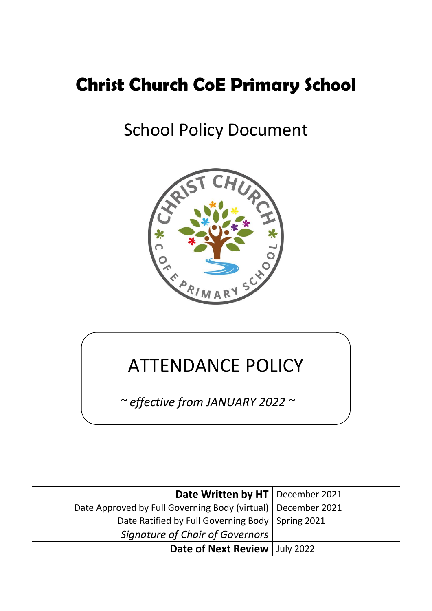# **Christ Church CoE Primary School**

# School Policy Document



# ATTENDANCE POLICY

*~ effective from JANUARY 2022 ~*

| Date Written by HT   December 2021                             |  |
|----------------------------------------------------------------|--|
| Date Approved by Full Governing Body (virtual)   December 2021 |  |
| Date Ratified by Full Governing Body   Spring 2021             |  |
| Signature of Chair of Governors                                |  |
| Date of Next Review   July 2022                                |  |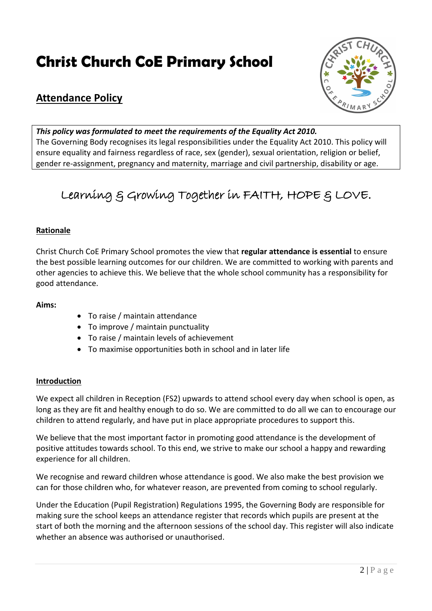# **Christ Church CoE Primary School**



# **Attendance Policy**

# *This policy was formulated to meet the requirements of the Equality Act 2010.*

The Governing Body recognises its legal responsibilities under the Equality Act 2010. This policy will ensure equality and fairness regardless of race, sex (gender), sexual orientation, religion or belief, gender re-assignment, pregnancy and maternity, marriage and civil partnership, disability or age.

# Learning & Growing Together in FAITH, HOPE & LOVE.

# **Rationale**

Christ Church CoE Primary School promotes the view that **regular attendance is essential** to ensure the best possible learning outcomes for our children. We are committed to working with parents and other agencies to achieve this. We believe that the whole school community has a responsibility for good attendance.

# **Aims:**

- To raise / maintain attendance
- To improve / maintain punctuality
- To raise / maintain levels of achievement
- To maximise opportunities both in school and in later life

#### **Introduction**

We expect all children in Reception (FS2) upwards to attend school every day when school is open, as long as they are fit and healthy enough to do so. We are committed to do all we can to encourage our children to attend regularly, and have put in place appropriate procedures to support this.

We believe that the most important factor in promoting good attendance is the development of positive attitudes towards school. To this end, we strive to make our school a happy and rewarding experience for all children.

We recognise and reward children whose attendance is good. We also make the best provision we can for those children who, for whatever reason, are prevented from coming to school regularly.

Under the Education (Pupil Registration) Regulations 1995, the Governing Body are responsible for making sure the school keeps an attendance register that records which pupils are present at the start of both the morning and the afternoon sessions of the school day. This register will also indicate whether an absence was authorised or unauthorised.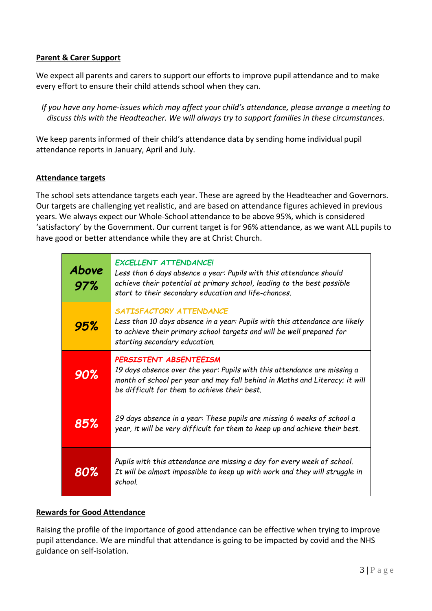# **Parent & Carer Support**

We expect all parents and carers to support our efforts to improve pupil attendance and to make every effort to ensure their child attends school when they can.

*If you have any home-issues which may affect your child's attendance, please arrange a meeting to discuss this with the Headteacher. We will always try to support families in these circumstances.*

We keep parents informed of their child's attendance data by sending home individual pupil attendance reports in January, April and July.

#### **Attendance targets**

The school sets attendance targets each year. These are agreed by the Headteacher and Governors. Our targets are challenging yet realistic, and are based on attendance figures achieved in previous years. We always expect our Whole-School attendance to be above 95%, which is considered 'satisfactory' by the Government. Our current target is for 96% attendance, as we want ALL pupils to have good or better attendance while they are at Christ Church.

| Above<br>97% | <b>EXCELLENT ATTENDANCE!</b><br>Less than 6 days absence a year: Pupils with this attendance should<br>achieve their potential at primary school, leading to the best possible<br>start to their secondary education and life-chances. |
|--------------|----------------------------------------------------------------------------------------------------------------------------------------------------------------------------------------------------------------------------------------|
| 95%          | SATISFACTORY ATTENDANCE<br>Less than 10 days absence in a year: Pupils with this attendance are likely<br>to achieve their primary school targets and will be well prepared for<br>starting secondary education.                       |
| 90%          | PERSISTENT ABSENTEEISM<br>19 days absence over the year: Pupils with this attendance are missing a<br>month of school per year and may fall behind in Maths and Literacy; it will<br>be difficult for them to achieve their best.      |
| 85%          | 29 days absence in a year: These pupils are missing 6 weeks of school a<br>year, it will be very difficult for them to keep up and achieve their best.                                                                                 |
| 80%          | Pupils with this attendance are missing a day for every week of school.<br>It will be almost impossible to keep up with work and they will struggle in<br>school.                                                                      |

# **Rewards for Good Attendance**

Raising the profile of the importance of good attendance can be effective when trying to improve pupil attendance. We are mindful that attendance is going to be impacted by covid and the NHS guidance on self-isolation.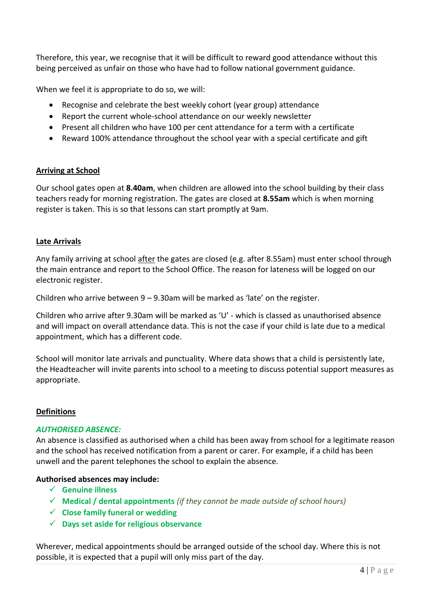Therefore, this year, we recognise that it will be difficult to reward good attendance without this being perceived as unfair on those who have had to follow national government guidance.

When we feel it is appropriate to do so, we will:

- Recognise and celebrate the best weekly cohort (year group) attendance
- Report the current whole-school attendance on our weekly newsletter
- Present all children who have 100 per cent attendance for a term with a certificate
- Reward 100% attendance throughout the school year with a special certificate and gift

#### **Arriving at School**

Our school gates open at **8.40am**, when children are allowed into the school building by their class teachers ready for morning registration. The gates are closed at **8.55am** which is when morning register is taken. This is so that lessons can start promptly at 9am.

#### **Late Arrivals**

Any family arriving at school after the gates are closed (e.g. after 8.55am) must enter school through the main entrance and report to the School Office. The reason for lateness will be logged on our electronic register.

Children who arrive between 9 – 9.30am will be marked as 'late' on the register.

Children who arrive after 9.30am will be marked as 'U' - which is classed as unauthorised absence and will impact on overall attendance data. This is not the case if your child is late due to a medical appointment, which has a different code.

School will monitor late arrivals and punctuality. Where data shows that a child is persistently late, the Headteacher will invite parents into school to a meeting to discuss potential support measures as appropriate.

#### **Definitions**

#### *AUTHORISED ABSENCE:*

An absence is classified as authorised when a child has been away from school for a legitimate reason and the school has received notification from a parent or carer. For example, if a child has been unwell and the parent telephones the school to explain the absence.

#### **Authorised absences may include:**

- **Genuine illness**
- **Medical / dental appointments** *(if they cannot be made outside of school hours)*
- **Close family funeral or wedding**
- **Days set aside for religious observance**

Wherever, medical appointments should be arranged outside of the school day. Where this is not possible, it is expected that a pupil will only miss part of the day.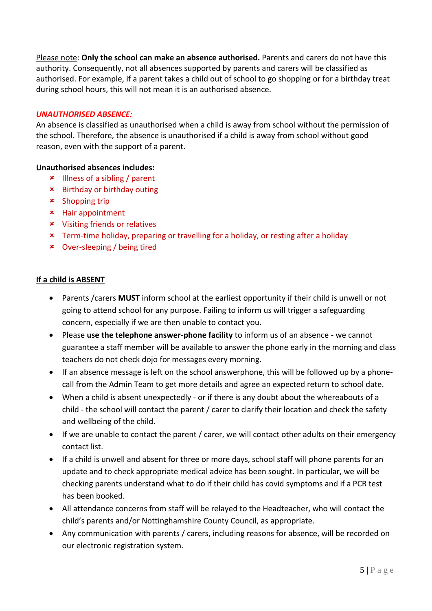Please note: **Only the school can make an absence authorised.** Parents and carers do not have this authority. Consequently, not all absences supported by parents and carers will be classified as authorised. For example, if a parent takes a child out of school to go shopping or for a birthday treat during school hours, this will not mean it is an authorised absence.

#### *UNAUTHORISED ABSENCE:*

An absence is classified as unauthorised when a child is away from school without the permission of the school. Therefore, the absence is unauthorised if a child is away from school without good reason, even with the support of a parent.

### **Unauthorised absences includes:**

- Illness of a sibling / parent
- Birthday or birthday outing
- $\star$  Shopping trip
- Hair appointment
- Visiting friends or relatives
- Term-time holiday, preparing or travelling for a holiday, or resting after a holiday
- Over-sleeping / being tired

### **If a child is ABSENT**

- Parents /carers **MUST** inform school at the earliest opportunity if their child is unwell or not going to attend school for any purpose. Failing to inform us will trigger a safeguarding concern, especially if we are then unable to contact you.
- Please **use the telephone answer-phone facility** to inform us of an absence we cannot guarantee a staff member will be available to answer the phone early in the morning and class teachers do not check dojo for messages every morning.
- If an absence message is left on the school answerphone, this will be followed up by a phonecall from the Admin Team to get more details and agree an expected return to school date.
- When a child is absent unexpectedly or if there is any doubt about the whereabouts of a child - the school will contact the parent / carer to clarify their location and check the safety and wellbeing of the child.
- If we are unable to contact the parent / carer, we will contact other adults on their emergency contact list.
- If a child is unwell and absent for three or more days, school staff will phone parents for an update and to check appropriate medical advice has been sought. In particular, we will be checking parents understand what to do if their child has covid symptoms and if a PCR test has been booked.
- All attendance concerns from staff will be relayed to the Headteacher, who will contact the child's parents and/or Nottinghamshire County Council, as appropriate.
- Any communication with parents / carers, including reasons for absence, will be recorded on our electronic registration system.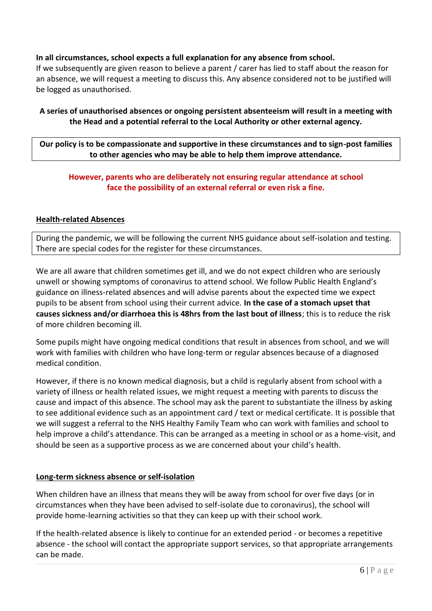# **In all circumstances, school expects a full explanation for any absence from school.**

If we subsequently are given reason to believe a parent / carer has lied to staff about the reason for an absence, we will request a meeting to discuss this. Any absence considered not to be justified will be logged as unauthorised.

# **A series of unauthorised absences or ongoing persistent absenteeism will result in a meeting with the Head and a potential referral to the Local Authority or other external agency.**

**Our policy is to be compassionate and supportive in these circumstances and to sign-post families to other agencies who may be able to help them improve attendance.**

# **However, parents who are deliberately not ensuring regular attendance at school face the possibility of an external referral or even risk a fine.**

### **Health-related Absences**

During the pandemic, we will be following the current NHS guidance about self-isolation and testing. There are special codes for the register for these circumstances.

We are all aware that children sometimes get ill, and we do not expect children who are seriously unwell or showing symptoms of coronavirus to attend school. We follow Public Health England's guidance on illness-related absences and will advise parents about the expected time we expect pupils to be absent from school using their current advice. **In the case of a stomach upset that causes sickness and/or diarrhoea this is 48hrs from the last bout of illness**; this is to reduce the risk of more children becoming ill.

Some pupils might have ongoing medical conditions that result in absences from school, and we will work with families with children who have long-term or regular absences because of a diagnosed medical condition.

However, if there is no known medical diagnosis, but a child is regularly absent from school with a variety of illness or health related issues, we might request a meeting with parents to discuss the cause and impact of this absence. The school may ask the parent to substantiate the illness by asking to see additional evidence such as an appointment card / text or medical certificate. It is possible that we will suggest a referral to the NHS Healthy Family Team who can work with families and school to help improve a child's attendance. This can be arranged as a meeting in school or as a home-visit, and should be seen as a supportive process as we are concerned about your child's health.

#### **Long-term sickness absence or self-isolation**

When children have an illness that means they will be away from school for over five days (or in circumstances when they have been advised to self-isolate due to coronavirus), the school will provide home-learning activities so that they can keep up with their school work.

If the health-related absence is likely to continue for an extended period - or becomes a repetitive absence - the school will contact the appropriate support services, so that appropriate arrangements can be made.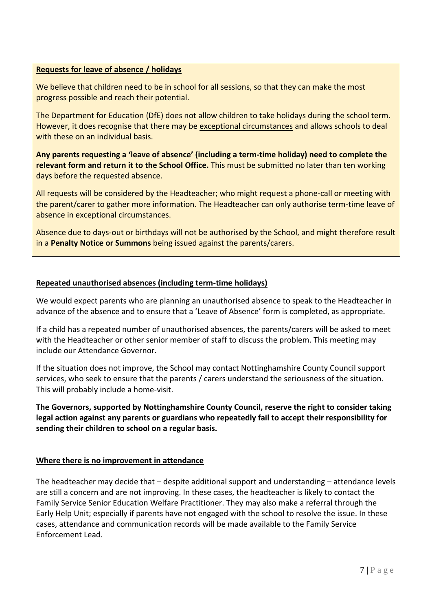# **Requests for leave of absence / holidays**

We believe that children need to be in school for all sessions, so that they can make the most progress possible and reach their potential.

The Department for Education (DfE) does not allow children to take holidays during the school term. However, it does recognise that there may be exceptional circumstances and allows schools to deal with these on an individual basis.

**Any parents requesting a 'leave of absence' (including a term-time holiday) need to complete the relevant form and return it to the School Office.** This must be submitted no later than ten working days before the requested absence.

All requests will be considered by the Headteacher; who might request a phone-call or meeting with the parent/carer to gather more information. The Headteacher can only authorise term-time leave of absence in exceptional circumstances.

Absence due to days-out or birthdays will not be authorised by the School, and might therefore result in a **Penalty Notice or Summons** being issued against the parents/carers.

### **Repeated unauthorised absences (including term-time holidays)**

We would expect parents who are planning an unauthorised absence to speak to the Headteacher in advance of the absence and to ensure that a 'Leave of Absence' form is completed, as appropriate.

If a child has a repeated number of unauthorised absences, the parents/carers will be asked to meet with the Headteacher or other senior member of staff to discuss the problem. This meeting may include our Attendance Governor.

If the situation does not improve, the School may contact Nottinghamshire County Council support services, who seek to ensure that the parents / carers understand the seriousness of the situation. This will probably include a home-visit.

**The Governors, supported by Nottinghamshire County Council, reserve the right to consider taking legal action against any parents or guardians who repeatedly fail to accept their responsibility for sending their children to school on a regular basis.**

#### **Where there is no improvement in attendance**

The headteacher may decide that – despite additional support and understanding – attendance levels are still a concern and are not improving. In these cases, the headteacher is likely to contact the Family Service Senior Education Welfare Practitioner. They may also make a referral through the Early Help Unit; especially if parents have not engaged with the school to resolve the issue. In these cases, attendance and communication records will be made available to the Family Service Enforcement Lead.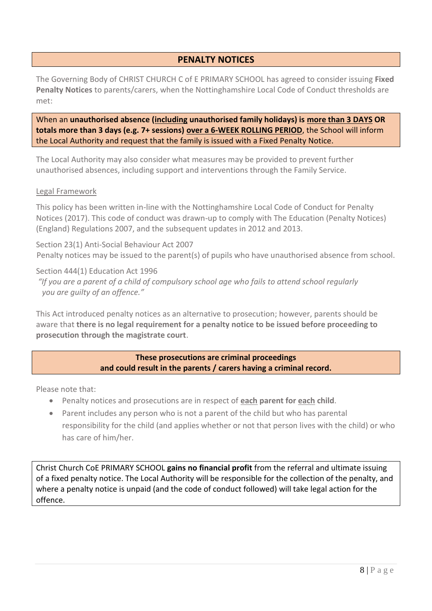# **PENALTY NOTICES**

The Governing Body of CHRIST CHURCH C of E PRIMARY SCHOOL has agreed to consider issuing **Fixed Penalty Notices** to parents/carers, when the Nottinghamshire Local Code of Conduct thresholds are met:

When an **unauthorised absence (including unauthorised family holidays) is more than 3 DAYS OR totals more than 3 days (e.g. 7+ sessions) over a 6-WEEK ROLLING PERIOD**, the School will inform the Local Authority and request that the family is issued with a Fixed Penalty Notice.

The Local Authority may also consider what measures may be provided to prevent further unauthorised absences, including support and interventions through the Family Service.

#### Legal Framework

This policy has been written in-line with the Nottinghamshire Local Code of Conduct for Penalty Notices (2017). This code of conduct was drawn-up to comply with The Education (Penalty Notices) (England) Regulations 2007, and the subsequent updates in 2012 and 2013.

Section 23(1) Anti-Social Behaviour Act 2007 Penalty notices may be issued to the parent(s) of pupils who have unauthorised absence from school.

Section 444(1) Education Act 1996

*"If you are a parent of a child of compulsory school age who fails to attend school regularly you are guilty of an offence."* 

This Act introduced penalty notices as an alternative to prosecution; however, parents should be aware that **there is no legal requirement for a penalty notice to be issued before proceeding to prosecution through the magistrate court**.

> **These prosecutions are criminal proceedings and could result in the parents / carers having a criminal record.**

Please note that:

- Penalty notices and prosecutions are in respect of **each parent for each child**.
- Parent includes any person who is not a parent of the child but who has parental responsibility for the child (and applies whether or not that person lives with the child) or who has care of him/her.

Christ Church CoE PRIMARY SCHOOL **gains no financial profit** from the referral and ultimate issuing of a fixed penalty notice. The Local Authority will be responsible for the collection of the penalty, and where a penalty notice is unpaid (and the code of conduct followed) will take legal action for the offence.